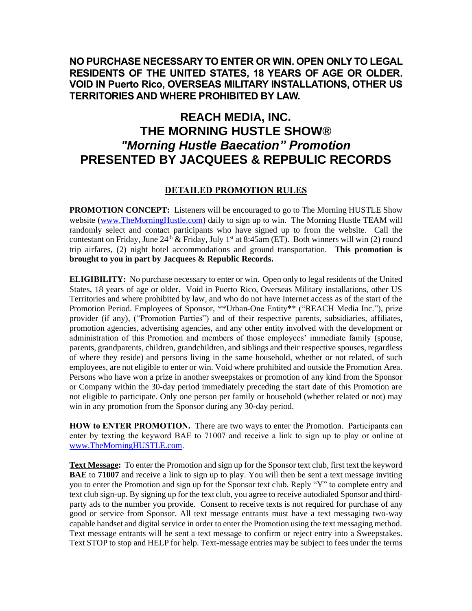## **NO PURCHASE NECESSARY TO ENTER OR WIN. OPEN ONLY TO LEGAL RESIDENTS OF THE UNITED STATES, 18 YEARS OF AGE OR OLDER. VOID IN Puerto Rico, OVERSEAS MILITARY INSTALLATIONS, OTHER US TERRITORIES AND WHERE PROHIBITED BY LAW.**

## **REACH MEDIA, INC. THE MORNING HUSTLE SHOW®** *"Morning Hustle Baecation" Promotion* **PRESENTED BY JACQUEES & REPBULIC RECORDS**

## **DETAILED PROMOTION RULES**

**PROMOTION CONCEPT:** Listeners will be encouraged to go to The Morning HUSTLE Show website [\(www.TheMorningHustle.com\)](http://www.themorninghustle.com/) daily to sign up to win. The Morning Hustle TEAM will randomly select and contact participants who have signed up to from the website. Call the contestant on Friday, June  $24<sup>th</sup>$  & Friday, July 1<sup>st</sup> at 8:45am (ET). Both winners will win (2) round trip airfares, (2) night hotel accommodations and ground transportation. **This promotion is brought to you in part by Jacquees & Republic Records.**

**ELIGIBILITY:** No purchase necessary to enter or win. Open only to legal residents of the United States, 18 years of age or older. Void in Puerto Rico, Overseas Military installations, other US Territories and where prohibited by law, and who do not have Internet access as of the start of the Promotion Period. Employees of Sponsor, \*\*Urban-One Entity\*\* ("REACH Media Inc."), prize provider (if any), ("Promotion Parties") and of their respective parents, subsidiaries, affiliates, promotion agencies, advertising agencies, and any other entity involved with the development or administration of this Promotion and members of those employees' immediate family (spouse, parents, grandparents, children, grandchildren, and siblings and their respective spouses, regardless of where they reside) and persons living in the same household, whether or not related, of such employees, are not eligible to enter or win. Void where prohibited and outside the Promotion Area. Persons who have won a prize in another sweepstakes or promotion of any kind from the Sponsor or Company within the 30-day period immediately preceding the start date of this Promotion are not eligible to participate. Only one person per family or household (whether related or not) may win in any promotion from the Sponsor during any 30-day period.

**HOW to ENTER PROMOTION.** There are two ways to enter the Promotion. Participants can enter by texting the keyword BAE to 71007 and receive a link to sign up to play or online at [www.TheMorningHUSTLE.com.](http://www.themorninghustle.com/)

**Text Message:** To enter the Promotion and sign up for the Sponsor text club, first text the keyword **BAE** to **71007** and receive a link to sign up to play. You will then be sent a text message inviting you to enter the Promotion and sign up for the Sponsor text club. Reply "Y" to complete entry and text club sign-up. By signing up for the text club, you agree to receive autodialed Sponsor and thirdparty ads to the number you provide. Consent to receive texts is not required for purchase of any good or service from Sponsor. All text message entrants must have a text messaging two-way capable handset and digital service in order to enter the Promotion using the text messaging method. Text message entrants will be sent a text message to confirm or reject entry into a Sweepstakes. Text STOP to stop and HELP for help. Text-message entries may be subject to fees under the terms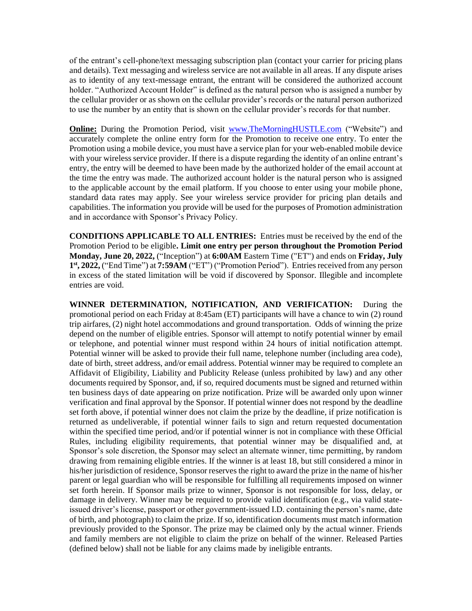of the entrant's cell-phone/text messaging subscription plan (contact your carrier for pricing plans and details). Text messaging and wireless service are not available in all areas. If any dispute arises as to identity of any text-message entrant, the entrant will be considered the authorized account holder. "Authorized Account Holder" is defined as the natural person who is assigned a number by the cellular provider or as shown on the cellular provider's records or the natural person authorized to use the number by an entity that is shown on the cellular provider's records for that number.

**Online:** During the Promotion Period, visit www.TheMorningHUSTLE.com ("Website") and accurately complete the online entry form for the Promotion to receive one entry. To enter the Promotion using a mobile device, you must have a service plan for your web-enabled mobile device with your wireless service provider. If there is a dispute regarding the identity of an online entrant's entry, the entry will be deemed to have been made by the authorized holder of the email account at the time the entry was made. The authorized account holder is the natural person who is assigned to the applicable account by the email platform. If you choose to enter using your mobile phone, standard data rates may apply. See your wireless service provider for pricing plan details and capabilities. The information you provide will be used for the purposes of Promotion administration and in accordance with Sponsor's Privacy Policy.

**CONDITIONS APPLICABLE TO ALL ENTRIES:** Entries must be received by the end of the Promotion Period to be eligible**. Limit one entry per person throughout the Promotion Period Monday, June 20, 2022,** ("Inception") at **6:00AM** Eastern Time ("ET") and ends on **Friday, July 1 st, 2022,** ("End Time") at **7:59AM** ("ET") ("Promotion Period"). Entries received from any person in excess of the stated limitation will be void if discovered by Sponsor. Illegible and incomplete entries are void.

**WINNER DETERMINATION, NOTIFICATION, AND VERIFICATION:** During the promotional period on each Friday at 8:45am (ET) participants will have a chance to win (2) round trip airfares, (2) night hotel accommodations and ground transportation. Odds of winning the prize depend on the number of eligible entries. Sponsor will attempt to notify potential winner by email or telephone, and potential winner must respond within 24 hours of initial notification attempt. Potential winner will be asked to provide their full name, telephone number (including area code), date of birth, street address, and/or email address. Potential winner may be required to complete an Affidavit of Eligibility, Liability and Publicity Release (unless prohibited by law) and any other documents required by Sponsor, and, if so, required documents must be signed and returned within ten business days of date appearing on prize notification. Prize will be awarded only upon winner verification and final approval by the Sponsor. If potential winner does not respond by the deadline set forth above, if potential winner does not claim the prize by the deadline, if prize notification is returned as undeliverable, if potential winner fails to sign and return requested documentation within the specified time period, and/or if potential winner is not in compliance with these Official Rules, including eligibility requirements, that potential winner may be disqualified and, at Sponsor's sole discretion, the Sponsor may select an alternate winner, time permitting, by random drawing from remaining eligible entries. If the winner is at least 18, but still considered a minor in his/her jurisdiction of residence, Sponsor reserves the right to award the prize in the name of his/her parent or legal guardian who will be responsible for fulfilling all requirements imposed on winner set forth herein. If Sponsor mails prize to winner, Sponsor is not responsible for loss, delay, or damage in delivery. Winner may be required to provide valid identification (e.g., via valid stateissued driver's license, passport or other government-issued I.D. containing the person's name, date of birth, and photograph) to claim the prize. If so, identification documents must match information previously provided to the Sponsor. The prize may be claimed only by the actual winner. Friends and family members are not eligible to claim the prize on behalf of the winner. Released Parties (defined below) shall not be liable for any claims made by ineligible entrants.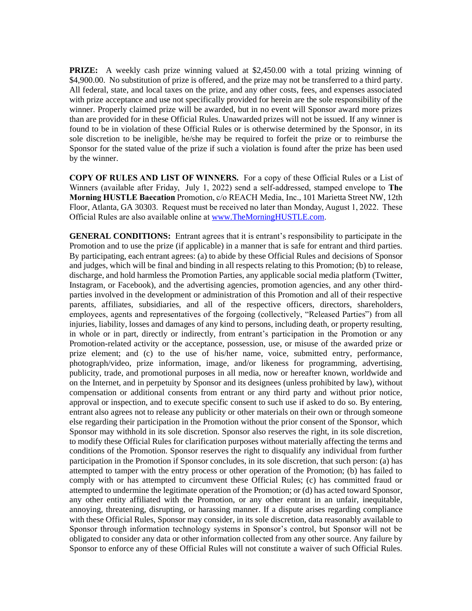**PRIZE:** A weekly cash prize winning valued at \$2,450.00 with a total prizing winning of \$4,900.00. No substitution of prize is offered, and the prize may not be transferred to a third party. All federal, state, and local taxes on the prize, and any other costs, fees, and expenses associated with prize acceptance and use not specifically provided for herein are the sole responsibility of the winner. Properly claimed prize will be awarded, but in no event will Sponsor award more prizes than are provided for in these Official Rules. Unawarded prizes will not be issued. If any winner is found to be in violation of these Official Rules or is otherwise determined by the Sponsor, in its sole discretion to be ineligible, he/she may be required to forfeit the prize or to reimburse the Sponsor for the stated value of the prize if such a violation is found after the prize has been used by the winner.

**COPY OF RULES AND LIST OF WINNERS.** For a copy of these Official Rules or a List of Winners (available after Friday, July 1, 2022) send a self-addressed, stamped envelope to **The Morning HUSTLE Baecation** Promotion, c/o REACH Media, Inc., 101 Marietta Street NW, 12th Floor, Atlanta, GA 30303. Request must be received no later than Monday, August 1, 2022. These Official Rules are also available online a[t www.TheMorningHUSTLE.com.](http://www.themorninghustle.com/)

**GENERAL CONDITIONS:** Entrant agrees that it is entrant's responsibility to participate in the Promotion and to use the prize (if applicable) in a manner that is safe for entrant and third parties. By participating, each entrant agrees: (a) to abide by these Official Rules and decisions of Sponsor and judges, which will be final and binding in all respects relating to this Promotion; (b) to release, discharge, and hold harmless the Promotion Parties, any applicable social media platform (Twitter, Instagram, or Facebook), and the advertising agencies, promotion agencies, and any other thirdparties involved in the development or administration of this Promotion and all of their respective parents, affiliates, subsidiaries, and all of the respective officers, directors, shareholders, employees, agents and representatives of the forgoing (collectively, "Released Parties") from all injuries, liability, losses and damages of any kind to persons, including death, or property resulting, in whole or in part, directly or indirectly, from entrant's participation in the Promotion or any Promotion-related activity or the acceptance, possession, use, or misuse of the awarded prize or prize element; and (c) to the use of his/her name, voice, submitted entry, performance, photograph/video, prize information, image, and/or likeness for programming, advertising, publicity, trade, and promotional purposes in all media, now or hereafter known, worldwide and on the Internet, and in perpetuity by Sponsor and its designees (unless prohibited by law), without compensation or additional consents from entrant or any third party and without prior notice, approval or inspection, and to execute specific consent to such use if asked to do so. By entering, entrant also agrees not to release any publicity or other materials on their own or through someone else regarding their participation in the Promotion without the prior consent of the Sponsor, which Sponsor may withhold in its sole discretion. Sponsor also reserves the right, in its sole discretion, to modify these Official Rules for clarification purposes without materially affecting the terms and conditions of the Promotion. Sponsor reserves the right to disqualify any individual from further participation in the Promotion if Sponsor concludes, in its sole discretion, that such person: (a) has attempted to tamper with the entry process or other operation of the Promotion; (b) has failed to comply with or has attempted to circumvent these Official Rules; (c) has committed fraud or attempted to undermine the legitimate operation of the Promotion; or (d) has acted toward Sponsor, any other entity affiliated with the Promotion, or any other entrant in an unfair, inequitable, annoying, threatening, disrupting, or harassing manner. If a dispute arises regarding compliance with these Official Rules, Sponsor may consider, in its sole discretion, data reasonably available to Sponsor through information technology systems in Sponsor's control, but Sponsor will not be obligated to consider any data or other information collected from any other source. Any failure by Sponsor to enforce any of these Official Rules will not constitute a waiver of such Official Rules.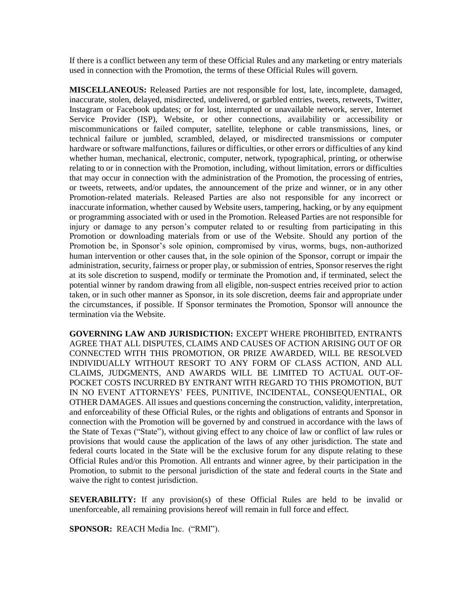If there is a conflict between any term of these Official Rules and any marketing or entry materials used in connection with the Promotion, the terms of these Official Rules will govern.

**MISCELLANEOUS:** Released Parties are not responsible for lost, late, incomplete, damaged, inaccurate, stolen, delayed, misdirected, undelivered, or garbled entries, tweets, retweets, Twitter, Instagram or Facebook updates; or for lost, interrupted or unavailable network, server, Internet Service Provider (ISP), Website, or other connections, availability or accessibility or miscommunications or failed computer, satellite, telephone or cable transmissions, lines, or technical failure or jumbled, scrambled, delayed, or misdirected transmissions or computer hardware or software malfunctions, failures or difficulties, or other errors or difficulties of any kind whether human, mechanical, electronic, computer, network, typographical, printing, or otherwise relating to or in connection with the Promotion, including, without limitation, errors or difficulties that may occur in connection with the administration of the Promotion, the processing of entries, or tweets, retweets, and/or updates, the announcement of the prize and winner, or in any other Promotion-related materials. Released Parties are also not responsible for any incorrect or inaccurate information, whether caused by Website users, tampering, hacking, or by any equipment or programming associated with or used in the Promotion. Released Parties are not responsible for injury or damage to any person's computer related to or resulting from participating in this Promotion or downloading materials from or use of the Website. Should any portion of the Promotion be, in Sponsor's sole opinion, compromised by virus, worms, bugs, non-authorized human intervention or other causes that, in the sole opinion of the Sponsor, corrupt or impair the administration, security, fairness or proper play, or submission of entries, Sponsor reserves the right at its sole discretion to suspend, modify or terminate the Promotion and, if terminated, select the potential winner by random drawing from all eligible, non-suspect entries received prior to action taken, or in such other manner as Sponsor, in its sole discretion, deems fair and appropriate under the circumstances, if possible. If Sponsor terminates the Promotion, Sponsor will announce the termination via the Website.

**GOVERNING LAW AND JURISDICTION:** EXCEPT WHERE PROHIBITED, ENTRANTS AGREE THAT ALL DISPUTES, CLAIMS AND CAUSES OF ACTION ARISING OUT OF OR CONNECTED WITH THIS PROMOTION, OR PRIZE AWARDED, WILL BE RESOLVED INDIVIDUALLY WITHOUT RESORT TO ANY FORM OF CLASS ACTION, AND ALL CLAIMS, JUDGMENTS, AND AWARDS WILL BE LIMITED TO ACTUAL OUT-OF-POCKET COSTS INCURRED BY ENTRANT WITH REGARD TO THIS PROMOTION, BUT IN NO EVENT ATTORNEYS' FEES, PUNITIVE, INCIDENTAL, CONSEQUENTIAL, OR OTHER DAMAGES. All issues and questions concerning the construction, validity, interpretation, and enforceability of these Official Rules, or the rights and obligations of entrants and Sponsor in connection with the Promotion will be governed by and construed in accordance with the laws of the State of Texas ("State"), without giving effect to any choice of law or conflict of law rules or provisions that would cause the application of the laws of any other jurisdiction. The state and federal courts located in the State will be the exclusive forum for any dispute relating to these Official Rules and/or this Promotion. All entrants and winner agree, by their participation in the Promotion, to submit to the personal jurisdiction of the state and federal courts in the State and waive the right to contest jurisdiction.

**SEVERABILITY:** If any provision(s) of these Official Rules are held to be invalid or unenforceable, all remaining provisions hereof will remain in full force and effect.

**SPONSOR:** REACH Media Inc. ("RMI").